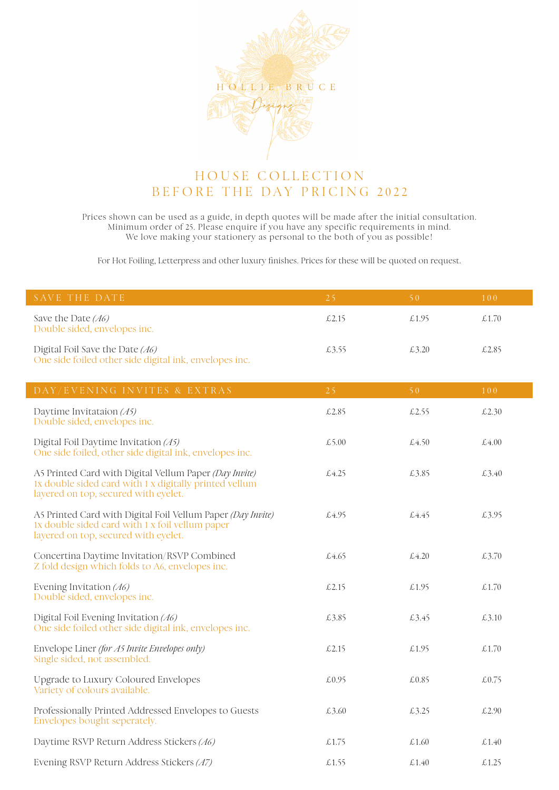

## HOUSE COLLECTION BEFORE THE DAY PRICING 2022

Prices shown can be used as a guide, in depth quotes will be made after the initial consultation. Minimum order of 25. Please enquire if you have any specific requirements in mind. We love making your stationery as personal to the both of you as possible!

For Hot Foiling, Letterpress and other luxury finishes. Prices for these will be quoted on request.

| SAVE THE DATE.                                                                            | 7.51  | S O    | 100    |
|-------------------------------------------------------------------------------------------|-------|--------|--------|
| Save the Date (A6)<br>Double sided, envelopes inc.                                        | £2.15 | £.1.95 | £.1.70 |
| Digital Foil Save the Date (A6)<br>One side foiled other side digital ink, envelopes inc. | £3.55 | £3.20  | £2.85  |

| DAY/EVENING INVITES & EXTRAS                                                                                                                             | 25    | 50 <sup>°</sup> | 100   |
|----------------------------------------------------------------------------------------------------------------------------------------------------------|-------|-----------------|-------|
| Daytime Invitataion $(45)$<br>Double sided, envelopes inc.                                                                                               | £2.85 | £2.55           | £2.30 |
| Digital Foil Daytime Invitation $(15)$<br>One side foiled, other side digital ink, envelopes inc.                                                        | £5.00 | £4.50           | £4.00 |
| A5 Printed Card with Digital Vellum Paper (Day Invite)<br>1x double sided card with 1 x digitally printed vellum<br>layered on top, secured with eyelet. | £4.25 | £3.85           | £3.40 |
| A5 Printed Card with Digital Foil Vellum Paper (Day Invite)<br>1x double sided card with 1 x foil vellum paper<br>layered on top, secured with eyelet.   | £4.95 | £4.45           | £3.95 |
| Concertina Daytime Invitation/RSVP Combined<br>Z fold design which folds to A6, envelopes inc.                                                           | £4.65 | £4.20           | £3.70 |
| Evening Invitation (A6)<br>Double sided, envelopes inc.                                                                                                  | £2.15 | £1.95           | £1.70 |
| Digital Foil Evening Invitation $(A6)$<br>One side foiled other side digital ink, envelopes inc.                                                         | £3.85 | £3.45           | £3.10 |
| Envelope Liner (for A5 Invite Envelopes only)<br>Single sided, not assembled.                                                                            | £2.15 | £1.95           | £1.70 |
| Upgrade to Luxury Coloured Envelopes<br>Variety of colours available.                                                                                    | £0.95 | £0.85           | £0.75 |
| Professionally Printed Addressed Envelopes to Guests<br>Envelopes bought seperately.                                                                     | £3.60 | £3.25           | £2.90 |
| Daytime RSVP Return Address Stickers (A6)                                                                                                                | £1.75 | £1.60           | £1.40 |
| Evening RSVP Return Address Stickers (A7)                                                                                                                | £1.55 | £1.40           | £1.25 |